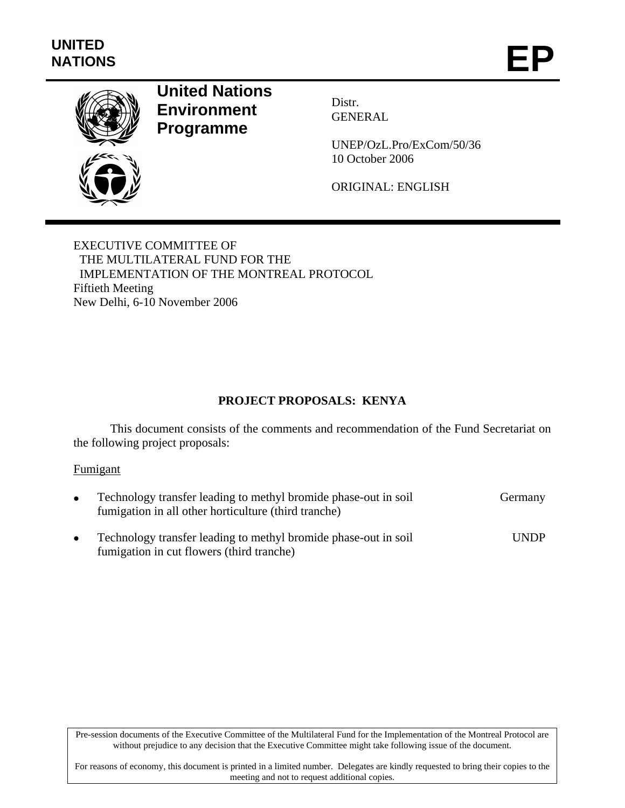

# **United Nations Environment Programme**

Distr. GENERAL

UNEP/OzL.Pro/ExCom/50/36 10 October 2006

ORIGINAL: ENGLISH

EXECUTIVE COMMITTEE OF THE MULTILATERAL FUND FOR THE IMPLEMENTATION OF THE MONTREAL PROTOCOL Fiftieth Meeting New Delhi, 6-10 November 2006

# **PROJECT PROPOSALS: KENYA**

This document consists of the comments and recommendation of the Fund Secretariat on the following project proposals:

# Fumigant

| Technology transfer leading to methyl bromide phase-out in soil<br>fumigation in all other horticulture (third tranche) | Germany     |
|-------------------------------------------------------------------------------------------------------------------------|-------------|
| Technology transfer leading to methyl bromide phase-out in soil<br>fumigation in cut flowers (third tranche)            | <b>UNDP</b> |

Pre-session documents of the Executive Committee of the Multilateral Fund for the Implementation of the Montreal Protocol are without prejudice to any decision that the Executive Committee might take following issue of the document.

For reasons of economy, this document is printed in a limited number. Delegates are kindly requested to bring their copies to the meeting and not to request additional copies.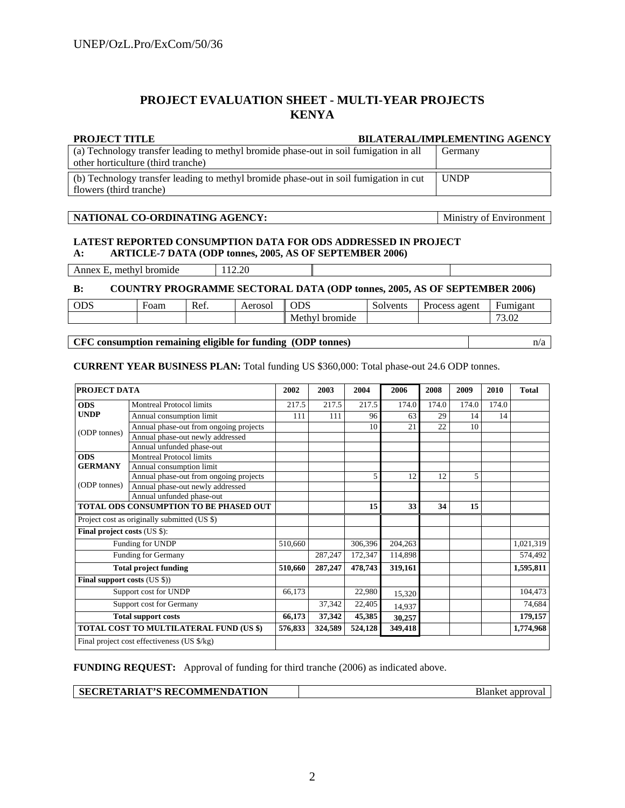# **PROJECT EVALUATION SHEET - MULTI-YEAR PROJECTS KENYA**

#### **PROJECT TITLE BILATERAL/IMPLEMENTING AGENCY**

| (a) Technology transfer leading to methyl bromide phase-out in soil fumigation in all | Germany     |
|---------------------------------------------------------------------------------------|-------------|
| other horticulture (third tranche)                                                    |             |
|                                                                                       |             |
| (b) Technology transfer leading to methyl bromide phase-out in soil fumigation in cut | <b>UNDP</b> |

#### **NATIONAL CO-ORDINATING AGENCY:** Ministry of Environment

### **LATEST REPORTED CONSUMPTION DATA FOR ODS ADDRESSED IN PROJECT A: ARTICLE-7 DATA (ODP tonnes, 2005, AS OF SEPTEMBER 2006)**

Annex E, methyl bromide 112.20

#### **B: COUNTRY PROGRAMME SECTORAL DATA (ODP tonnes, 2005, AS OF SEPTEMBER 2006)**

| $\sim$ $\sim$ $\sim$<br>UDS | $\overline{\phantom{0}}$<br>Foam | Ket. | $\triangle$ Arnec'<br>wav | ルー                   | $\sqrt{2}$<br>137000<br>™ UIII<br>JV. | agent<br>ocess<br><b>Urc</b> | Fumigant                   |
|-----------------------------|----------------------------------|------|---------------------------|----------------------|---------------------------------------|------------------------------|----------------------------|
|                             |                                  |      |                           | hrom<br>Methv<br>nde |                                       |                              | $\sim$<br>$\Omega$<br>J.VZ |

### **CFC consumption remaining eligible for funding (ODP tonnes)** n/a

**CURRENT YEAR BUSINESS PLAN:** Total funding US \$360,000: Total phase-out 24.6 ODP tonnes.

| PROJECT DATA                            |                                              | 2002  | 2003    | 2004    | 2006    | 2008  | 2009  | 2010  | <b>Total</b> |
|-----------------------------------------|----------------------------------------------|-------|---------|---------|---------|-------|-------|-------|--------------|
| <b>ODS</b>                              | <b>Montreal Protocol limits</b>              | 217.5 | 217.5   | 217.5   | 174.0   | 174.0 | 174.0 | 174.0 |              |
| <b>UNDP</b>                             | Annual consumption limit                     | 111   | 111     | 96      | 63      | 29    | 14    | 14    |              |
|                                         | Annual phase-out from ongoing projects       |       |         | 10      | 21      | 22    | 10    |       |              |
| (ODP tonnes)                            | Annual phase-out newly addressed             |       |         |         |         |       |       |       |              |
|                                         | Annual unfunded phase-out                    |       |         |         |         |       |       |       |              |
| <b>ODS</b>                              | <b>Montreal Protocol limits</b>              |       |         |         |         |       |       |       |              |
| <b>GERMANY</b>                          | Annual consumption limit                     |       |         |         |         |       |       |       |              |
|                                         | Annual phase-out from ongoing projects       |       |         | 5       | 12      | 12    | 5     |       |              |
| (ODP tonnes)                            | Annual phase-out newly addressed             |       |         |         |         |       |       |       |              |
|                                         | Annual unfunded phase-out                    |       |         |         |         |       |       |       |              |
| TOTAL ODS CONSUMPTION TO BE PHASED OUT  |                                              |       |         | 15      | 33      | 34    | 15    |       |              |
|                                         | Project cost as originally submitted (US \$) |       |         |         |         |       |       |       |              |
| Final project costs (US \$):            |                                              |       |         |         |         |       |       |       |              |
| Funding for UNDP                        |                                              |       |         | 306,396 | 204,263 |       |       |       | 1,021,319    |
| <b>Funding for Germany</b>              |                                              |       | 287,247 | 172,347 | 114,898 |       |       |       | 574,492      |
| <b>Total project funding</b>            |                                              |       | 287,247 | 478,743 | 319,161 |       |       |       | 1,595,811    |
| Final support costs (US \$))            |                                              |       |         |         |         |       |       |       |              |
| Support cost for UNDP                   |                                              |       |         | 22,980  | 15,320  |       |       |       | 104,473      |
| Support cost for Germany                |                                              |       | 37,342  | 22,405  | 14,937  |       |       |       | 74,684       |
| <b>Total support costs</b>              |                                              |       | 37,342  | 45,385  | 30,257  |       |       |       | 179,157      |
| TOTAL COST TO MULTILATERAL FUND (US \$) |                                              |       | 324,589 | 524,128 | 349,418 |       |       |       | 1,774,968    |
|                                         | Final project cost effectiveness (US \$/kg)  |       |         |         |         |       |       |       |              |

**FUNDING REQUEST:** Approval of funding for third tranche (2006) as indicated above.

**SECRETARIAT'S RECOMMENDATION Blanket approval**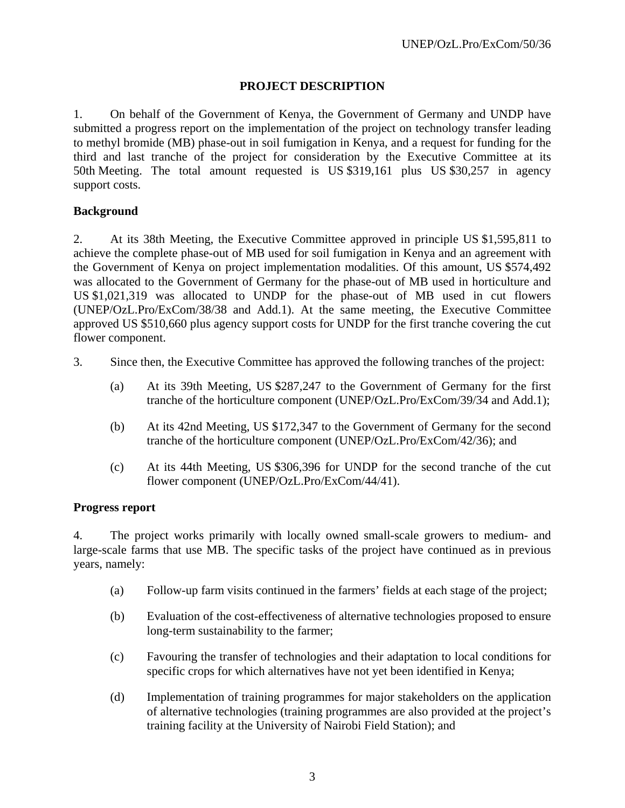# **PROJECT DESCRIPTION**

1. On behalf of the Government of Kenya, the Government of Germany and UNDP have submitted a progress report on the implementation of the project on technology transfer leading to methyl bromide (MB) phase-out in soil fumigation in Kenya, and a request for funding for the third and last tranche of the project for consideration by the Executive Committee at its 50th Meeting. The total amount requested is US \$319,161 plus US \$30,257 in agency support costs.

# **Background**

2. At its 38th Meeting, the Executive Committee approved in principle US \$1,595,811 to achieve the complete phase-out of MB used for soil fumigation in Kenya and an agreement with the Government of Kenya on project implementation modalities. Of this amount, US \$574,492 was allocated to the Government of Germany for the phase-out of MB used in horticulture and US \$1,021,319 was allocated to UNDP for the phase-out of MB used in cut flowers (UNEP/OzL.Pro/ExCom/38/38 and Add.1). At the same meeting, the Executive Committee approved US \$510,660 plus agency support costs for UNDP for the first tranche covering the cut flower component.

- 3. Since then, the Executive Committee has approved the following tranches of the project:
	- (a) At its 39th Meeting, US \$287,247 to the Government of Germany for the first tranche of the horticulture component (UNEP/OzL.Pro/ExCom/39/34 and Add.1);
	- (b) At its 42nd Meeting, US \$172,347 to the Government of Germany for the second tranche of the horticulture component (UNEP/OzL.Pro/ExCom/42/36); and
	- (c) At its 44th Meeting, US \$306,396 for UNDP for the second tranche of the cut flower component (UNEP/OzL.Pro/ExCom/44/41).

# **Progress report**

4. The project works primarily with locally owned small-scale growers to medium- and large-scale farms that use MB. The specific tasks of the project have continued as in previous years, namely:

- (a) Follow-up farm visits continued in the farmers' fields at each stage of the project;
- (b) Evaluation of the cost-effectiveness of alternative technologies proposed to ensure long-term sustainability to the farmer;
- (c) Favouring the transfer of technologies and their adaptation to local conditions for specific crops for which alternatives have not yet been identified in Kenya;
- (d) Implementation of training programmes for major stakeholders on the application of alternative technologies (training programmes are also provided at the project's training facility at the University of Nairobi Field Station); and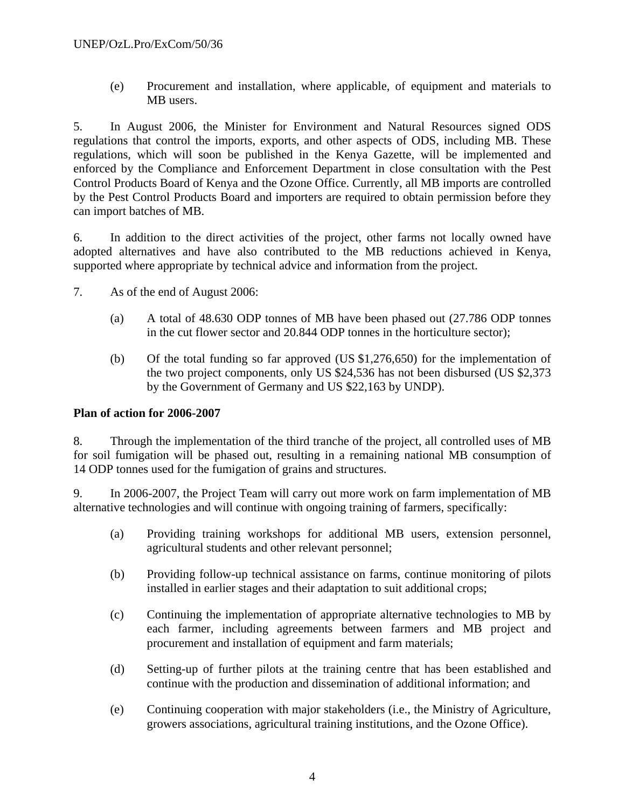(e) Procurement and installation, where applicable, of equipment and materials to MB users.

5. In August 2006, the Minister for Environment and Natural Resources signed ODS regulations that control the imports, exports, and other aspects of ODS, including MB. These regulations, which will soon be published in the Kenya Gazette, will be implemented and enforced by the Compliance and Enforcement Department in close consultation with the Pest Control Products Board of Kenya and the Ozone Office. Currently, all MB imports are controlled by the Pest Control Products Board and importers are required to obtain permission before they can import batches of MB.

6. In addition to the direct activities of the project, other farms not locally owned have adopted alternatives and have also contributed to the MB reductions achieved in Kenya, supported where appropriate by technical advice and information from the project.

- 7. As of the end of August 2006:
	- (a) A total of 48.630 ODP tonnes of MB have been phased out (27.786 ODP tonnes in the cut flower sector and 20.844 ODP tonnes in the horticulture sector);
	- (b) Of the total funding so far approved (US \$1,276,650) for the implementation of the two project components, only US \$24,536 has not been disbursed (US \$2,373 by the Government of Germany and US \$22,163 by UNDP).

# **Plan of action for 2006-2007**

8. Through the implementation of the third tranche of the project, all controlled uses of MB for soil fumigation will be phased out, resulting in a remaining national MB consumption of 14 ODP tonnes used for the fumigation of grains and structures.

9. In 2006-2007, the Project Team will carry out more work on farm implementation of MB alternative technologies and will continue with ongoing training of farmers, specifically:

- (a) Providing training workshops for additional MB users, extension personnel, agricultural students and other relevant personnel;
- (b) Providing follow-up technical assistance on farms, continue monitoring of pilots installed in earlier stages and their adaptation to suit additional crops;
- (c) Continuing the implementation of appropriate alternative technologies to MB by each farmer, including agreements between farmers and MB project and procurement and installation of equipment and farm materials;
- (d) Setting-up of further pilots at the training centre that has been established and continue with the production and dissemination of additional information; and
- (e) Continuing cooperation with major stakeholders (i.e., the Ministry of Agriculture, growers associations, agricultural training institutions, and the Ozone Office).